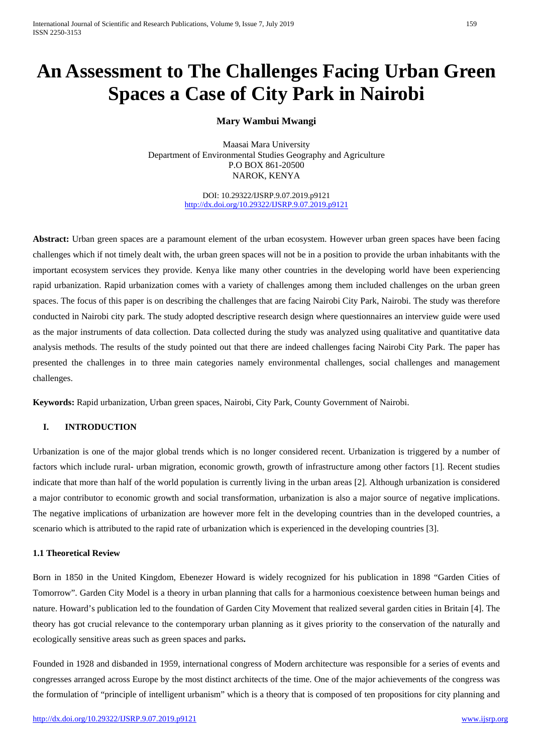# **An Assessment to The Challenges Facing Urban Green Spaces a Case of City Park in Nairobi**

# **Mary Wambui Mwangi**

Maasai Mara University Department of Environmental Studies Geography and Agriculture P.O BOX 861-20500 NAROK, KENYA

> DOI: 10.29322/IJSRP.9.07.2019.p9121 <http://dx.doi.org/10.29322/IJSRP.9.07.2019.p9121>

**Abstract:** Urban green spaces are a paramount element of the urban ecosystem. However urban green spaces have been facing challenges which if not timely dealt with, the urban green spaces will not be in a position to provide the urban inhabitants with the important ecosystem services they provide. Kenya like many other countries in the developing world have been experiencing rapid urbanization. Rapid urbanization comes with a variety of challenges among them included challenges on the urban green spaces. The focus of this paper is on describing the challenges that are facing Nairobi City Park, Nairobi. The study was therefore conducted in Nairobi city park. The study adopted descriptive research design where questionnaires an interview guide were used as the major instruments of data collection. Data collected during the study was analyzed using qualitative and quantitative data analysis methods. The results of the study pointed out that there are indeed challenges facing Nairobi City Park. The paper has presented the challenges in to three main categories namely environmental challenges, social challenges and management challenges.

**Keywords:** Rapid urbanization, Urban green spaces, Nairobi, City Park, County Government of Nairobi.

## **I. INTRODUCTION**

Urbanization is one of the major global trends which is no longer considered recent. Urbanization is triggered by a number of factors which include rural- urban migration, economic growth, growth of infrastructure among other factors [1]. Recent studies indicate that more than half of the world population is currently living in the urban areas [2]. Although urbanization is considered a major contributor to economic growth and social transformation, urbanization is also a major source of negative implications. The negative implications of urbanization are however more felt in the developing countries than in the developed countries, a scenario which is attributed to the rapid rate of urbanization which is experienced in the developing countries [3].

## **1.1 Theoretical Review**

Born in 1850 in the United Kingdom, Ebenezer Howard is widely recognized for his publication in 1898 "Garden Cities of Tomorrow". Garden City Model is a theory in urban planning that calls for a harmonious coexistence between human beings and nature. Howard's publication led to the foundation of Garden City Movement that realized several garden cities in Britain [4]. The theory has got crucial relevance to the contemporary urban planning as it gives priority to the conservation of the naturally and ecologically sensitive areas such as green spaces and parks**.** 

Founded in 1928 and disbanded in 1959, international congress of Modern architecture was responsible for a series of events and congresses arranged across Europe by the most distinct architects of the time. One of the major achievements of the congress was the formulation of "principle of intelligent urbanism" which is a theory that is composed of ten propositions for city planning and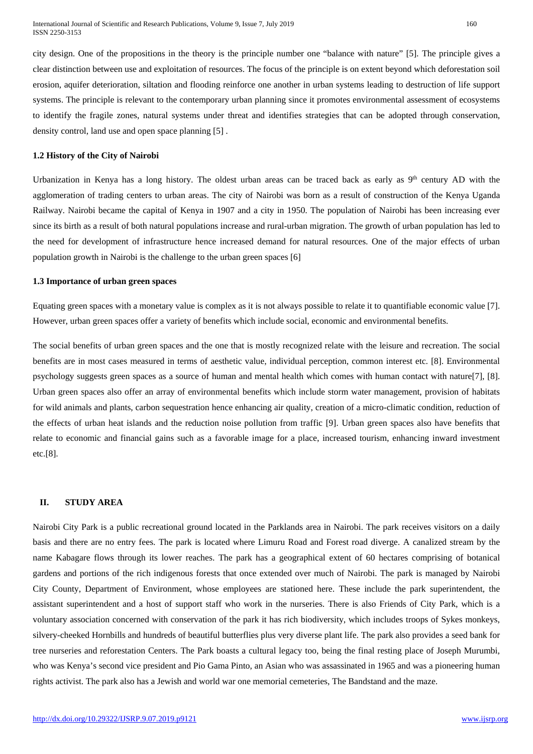city design. One of the propositions in the theory is the principle number one "balance with nature" [5]. The principle gives a clear distinction between use and exploitation of resources. The focus of the principle is on extent beyond which deforestation soil erosion, aquifer deterioration, siltation and flooding reinforce one another in urban systems leading to destruction of life support systems. The principle is relevant to the contemporary urban planning since it promotes environmental assessment of ecosystems to identify the fragile zones, natural systems under threat and identifies strategies that can be adopted through conservation, density control, land use and open space planning [5] .

## **1.2 History of the City of Nairobi**

Urbanization in Kenya has a long history. The oldest urban areas can be traced back as early as 9<sup>th</sup> century AD with the agglomeration of trading centers to urban areas. The city of Nairobi was born as a result of construction of the Kenya Uganda Railway. Nairobi became the capital of Kenya in 1907 and a city in 1950. The population of Nairobi has been increasing ever since its birth as a result of both natural populations increase and rural-urban migration. The growth of urban population has led to the need for development of infrastructure hence increased demand for natural resources. One of the major effects of urban population growth in Nairobi is the challenge to the urban green spaces [6]

#### **1.3 Importance of urban green spaces**

Equating green spaces with a monetary value is complex as it is not always possible to relate it to quantifiable economic value [7]. However, urban green spaces offer a variety of benefits which include social, economic and environmental benefits.

The social benefits of urban green spaces and the one that is mostly recognized relate with the leisure and recreation. The social benefits are in most cases measured in terms of aesthetic value, individual perception, common interest etc. [8]. Environmental psychology suggests green spaces as a source of human and mental health which comes with human contact with nature[7], [8]. Urban green spaces also offer an array of environmental benefits which include storm water management, provision of habitats for wild animals and plants, carbon sequestration hence enhancing air quality, creation of a micro-climatic condition, reduction of the effects of urban heat islands and the reduction noise pollution from traffic [9]. Urban green spaces also have benefits that relate to economic and financial gains such as a favorable image for a place, increased tourism, enhancing inward investment etc.[8].

#### **II. STUDY AREA**

Nairobi City Park is a public recreational ground located in the Parklands area in Nairobi. The park receives visitors on a daily basis and there are no entry fees. The park is located where Limuru Road and Forest road diverge. A canalized stream by the name Kabagare flows through its lower reaches. The park has a geographical extent of 60 hectares comprising of botanical gardens and portions of the rich indigenous forests that once extended over much of Nairobi. The park is managed by Nairobi City County, Department of Environment, whose employees are stationed here. These include the park superintendent, the assistant superintendent and a host of support staff who work in the nurseries. There is also Friends of City Park, which is a voluntary association concerned with conservation of the park it has rich biodiversity, which includes troops of Sykes monkeys, silvery-cheeked Hornbills and hundreds of beautiful butterflies plus very diverse plant life. The park also provides a seed bank for tree nurseries and reforestation Centers. The Park boasts a cultural legacy too, being the final resting place of Joseph Murumbi, who was Kenya's second vice president and Pio Gama Pinto, an Asian who was assassinated in 1965 and was a pioneering human rights activist. The park also has a Jewish and world war one memorial cemeteries, The Bandstand and the maze.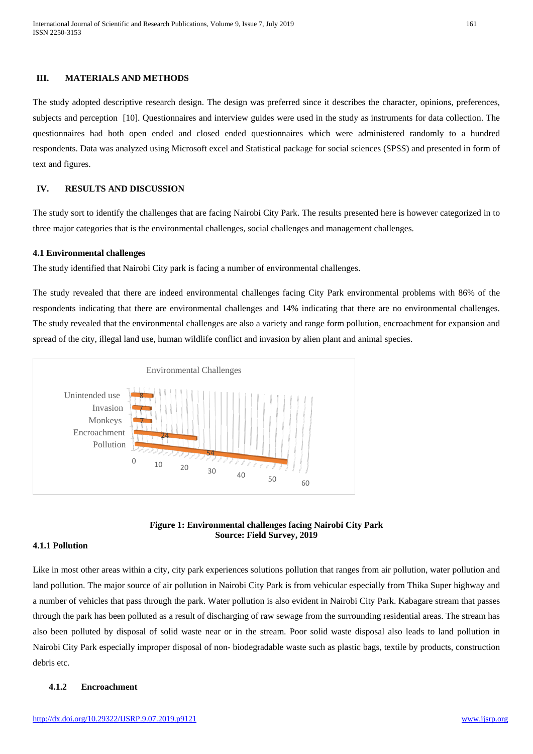#### **III. MATERIALS AND METHODS**

The study adopted descriptive research design. The design was preferred since it describes the character, opinions, preferences, subjects and perception [10]. Questionnaires and interview guides were used in the study as instruments for data collection. The questionnaires had both open ended and closed ended questionnaires which were administered randomly to a hundred respondents. Data was analyzed using Microsoft excel and Statistical package for social sciences (SPSS) and presented in form of text and figures.

#### **IV. RESULTS AND DISCUSSION**

The study sort to identify the challenges that are facing Nairobi City Park. The results presented here is however categorized in to three major categories that is the environmental challenges, social challenges and management challenges.

#### **4.1 Environmental challenges**

The study identified that Nairobi City park is facing a number of environmental challenges.

The study revealed that there are indeed environmental challenges facing City Park environmental problems with 86% of the respondents indicating that there are environmental challenges and 14% indicating that there are no environmental challenges. The study revealed that the environmental challenges are also a variety and range form pollution, encroachment for expansion and spread of the city, illegal land use, human wildlife conflict and invasion by alien plant and animal species.





## **4.1.1 Pollution**

Like in most other areas within a city, city park experiences solutions pollution that ranges from air pollution, water pollution and land pollution. The major source of air pollution in Nairobi City Park is from vehicular especially from Thika Super highway and a number of vehicles that pass through the park. Water pollution is also evident in Nairobi City Park. Kabagare stream that passes through the park has been polluted as a result of discharging of raw sewage from the surrounding residential areas. The stream has also been polluted by disposal of solid waste near or in the stream. Poor solid waste disposal also leads to land pollution in Nairobi City Park especially improper disposal of non- biodegradable waste such as plastic bags, textile by products, construction debris etc.

## **4.1.2 Encroachment**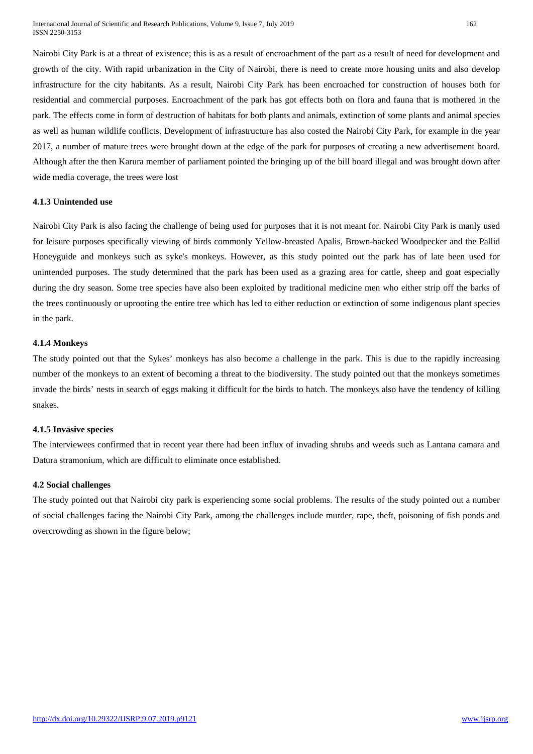Nairobi City Park is at a threat of existence; this is as a result of encroachment of the part as a result of need for development and growth of the city. With rapid urbanization in the City of Nairobi, there is need to create more housing units and also develop infrastructure for the city habitants. As a result, Nairobi City Park has been encroached for construction of houses both for residential and commercial purposes. Encroachment of the park has got effects both on flora and fauna that is mothered in the park. The effects come in form of destruction of habitats for both plants and animals, extinction of some plants and animal species as well as human wildlife conflicts. Development of infrastructure has also costed the Nairobi City Park, for example in the year 2017, a number of mature trees were brought down at the edge of the park for purposes of creating a new advertisement board. Although after the then Karura member of parliament pointed the bringing up of the bill board illegal and was brought down after wide media coverage, the trees were lost

## **4.1.3 Unintended use**

Nairobi City Park is also facing the challenge of being used for purposes that it is not meant for. Nairobi City Park is manly used for leisure purposes specifically viewing of birds commonly Yellow-breasted Apalis, Brown-backed Woodpecker and the Pallid Honeyguide and monkeys such as syke's monkeys. However, as this study pointed out the park has of late been used for unintended purposes. The study determined that the park has been used as a grazing area for cattle, sheep and goat especially during the dry season. Some tree species have also been exploited by traditional medicine men who either strip off the barks of the trees continuously or uprooting the entire tree which has led to either reduction or extinction of some indigenous plant species in the park.

#### **4.1.4 Monkeys**

The study pointed out that the Sykes' monkeys has also become a challenge in the park. This is due to the rapidly increasing number of the monkeys to an extent of becoming a threat to the biodiversity. The study pointed out that the monkeys sometimes invade the birds' nests in search of eggs making it difficult for the birds to hatch. The monkeys also have the tendency of killing snakes.

#### **4.1.5 Invasive species**

The interviewees confirmed that in recent year there had been influx of invading shrubs and weeds such as Lantana camara and Datura stramonium, which are difficult to eliminate once established.

#### **4.2 Social challenges**

The study pointed out that Nairobi city park is experiencing some social problems. The results of the study pointed out a number of social challenges facing the Nairobi City Park, among the challenges include murder, rape, theft, poisoning of fish ponds and overcrowding as shown in the figure below;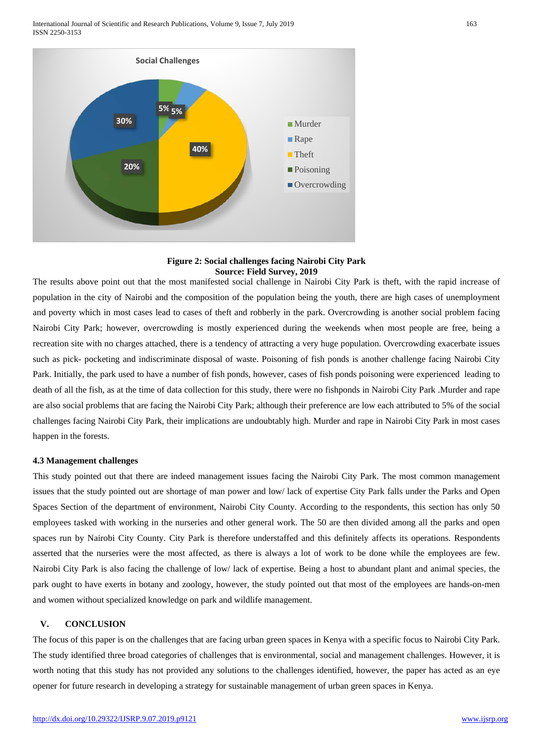International Journal of Scientific and Research Publications, Volume 9, Issue 7, July 2019 163 ISSN 2250-3153



#### **Figure 2: Social challenges facing Nairobi City Park Source: Field Survey, 2019**

The results above point out that the most manifested social challenge in Nairobi City Park is theft, with the rapid increase of population in the city of Nairobi and the composition of the population being the youth, there are high cases of unemployment and poverty which in most cases lead to cases of theft and robberly in the park. Overcrowding is another social problem facing Nairobi City Park; however, overcrowding is mostly experienced during the weekends when most people are free, being a recreation site with no charges attached, there is a tendency of attracting a very huge population. Overcrowding exacerbate issues such as pick- pocketing and indiscriminate disposal of waste. Poisoning of fish ponds is another challenge facing Nairobi City Park. Initially, the park used to have a number of fish ponds, however, cases of fish ponds poisoning were experienced leading to death of all the fish, as at the time of data collection for this study, there were no fishponds in Nairobi City Park .Murder and rape are also social problems that are facing the Nairobi City Park; although their preference are low each attributed to 5% of the social challenges facing Nairobi City Park, their implications are undoubtably high. Murder and rape in Nairobi City Park in most cases happen in the forests.

## **4.3 Management challenges**

This study pointed out that there are indeed management issues facing the Nairobi City Park. The most common management issues that the study pointed out are shortage of man power and low/ lack of expertise City Park falls under the Parks and Open Spaces Section of the department of environment, Nairobi City County. According to the respondents, this section has only 50 employees tasked with working in the nurseries and other general work. The 50 are then divided among all the parks and open spaces run by Nairobi City County. City Park is therefore understaffed and this definitely affects its operations. Respondents asserted that the nurseries were the most affected, as there is always a lot of work to be done while the employees are few. Nairobi City Park is also facing the challenge of low/ lack of expertise. Being a host to abundant plant and animal species, the park ought to have exerts in botany and zoology, however, the study pointed out that most of the employees are hands-on-men and women without specialized knowledge on park and wildlife management.

## **V. CONCLUSION**

The focus of this paper is on the challenges that are facing urban green spaces in Kenya with a specific focus to Nairobi City Park. The study identified three broad categories of challenges that is environmental, social and management challenges. However, it is worth noting that this study has not provided any solutions to the challenges identified, however, the paper has acted as an eye opener for future research in developing a strategy for sustainable management of urban green spaces in Kenya.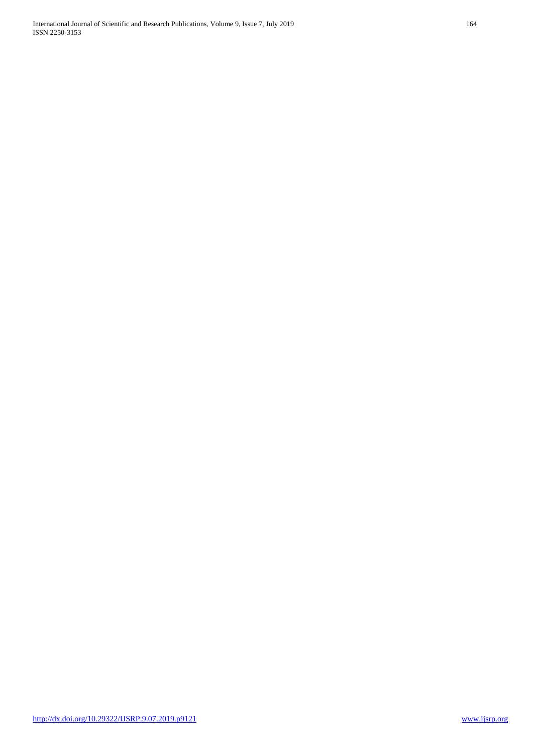International Journal of Scientific and Research Publications, Volume 9, Issue 7, July 2019 164 ISSN 2250-3153